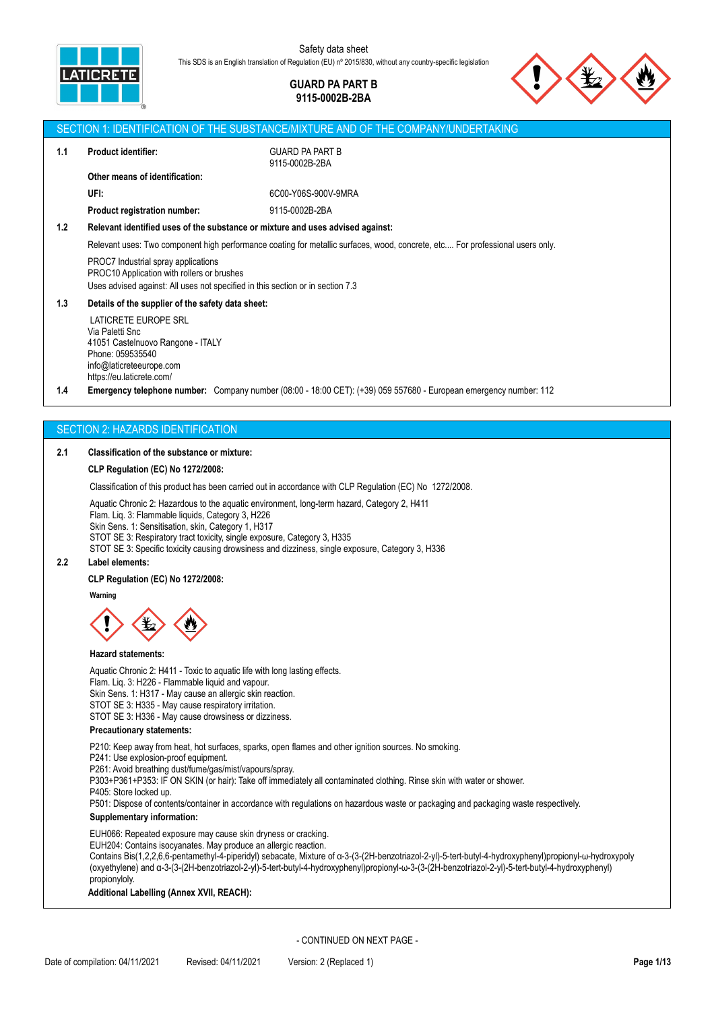

## **GUARD PA PART B 9115-0002B-2BA**



|     |                                                                                                                                                                     | SECTION 1: IDENTIFICATION OF THE SUBSTANCE/MIXTURE AND OF THE COMPANY/UNDERTAKING                                             |
|-----|---------------------------------------------------------------------------------------------------------------------------------------------------------------------|-------------------------------------------------------------------------------------------------------------------------------|
| 1.1 | <b>Product identifier:</b>                                                                                                                                          | <b>GUARD PA PART B</b><br>9115-0002B-2BA                                                                                      |
|     | Other means of identification:                                                                                                                                      |                                                                                                                               |
|     | UFI:                                                                                                                                                                | 6C00-Y06S-900V-9MRA                                                                                                           |
|     | <b>Product registration number:</b>                                                                                                                                 | 9115-0002B-2BA                                                                                                                |
| 1.2 | Relevant identified uses of the substance or mixture and uses advised against:                                                                                      |                                                                                                                               |
|     |                                                                                                                                                                     | Relevant uses: Two component high performance coating for metallic surfaces, wood, concrete, etc For professional users only. |
|     | PROC7 Industrial spray applications<br>PROC10 Application with rollers or brushes<br>Uses advised against: All uses not specified in this section or in section 7.3 |                                                                                                                               |
| 1.3 | Details of the supplier of the safety data sheet:                                                                                                                   |                                                                                                                               |
|     | LATICRETE EUROPE SRL<br>Via Paletti Snc<br>41051 Castelnuovo Rangone - ITALY<br>Phone: 059535540<br>info@laticreteeurope.com<br>https://eu.laticrete.com/           |                                                                                                                               |
| 1.4 |                                                                                                                                                                     | <b>Emergency telephone number:</b> Company number (08:00 - 18:00 CET): $(+39)$ 059 557680 - European emergency number: 112    |
|     |                                                                                                                                                                     |                                                                                                                               |

## SECTION 2: HAZARDS IDENTIFICATION

#### **2.1 Classification of the substance or mixture:**

## **CLP Regulation (EC) No 1272/2008:**

Classification of this product has been carried out in accordance with CLP Regulation (EC) No 1272/2008.

Aquatic Chronic 2: Hazardous to the aquatic environment, long-term hazard, Category 2, H411 Flam. Liq. 3: Flammable liquids, Category 3, H226

Skin Sens. 1: Sensitisation, skin, Category 1, H317

STOT SE 3: Respiratory tract toxicity, single exposure, Category 3, H335

STOT SE 3: Specific toxicity causing drowsiness and dizziness, single exposure, Category 3, H336

#### **2.2 Label elements:**

#### **CLP Regulation (EC) No 1272/2008:**

**Warning**

#### **Hazard statements:**

Aquatic Chronic 2: H411 - Toxic to aquatic life with long lasting effects.

- Flam. Liq. 3: H226 Flammable liquid and vapour.
- Skin Sens. 1: H317 May cause an allergic skin reaction.

STOT SE 3: H335 - May cause respiratory irritation.

STOT SE 3: H336 - May cause drowsiness or dizziness.

#### **Precautionary statements:**

P210: Keep away from heat, hot surfaces, sparks, open flames and other ignition sources. No smoking.

P241: Use explosion-proof equipment.

P261: Avoid breathing dust/fume/gas/mist/vapours/spray.

P303+P361+P353: IF ON SKIN (or hair): Take off immediately all contaminated clothing. Rinse skin with water or shower.

P405: Store locked up.

P501: Dispose of contents/container in accordance with regulations on hazardous waste or packaging and packaging waste respectively.

## **Supplementary information:**

EUH066: Repeated exposure may cause skin dryness or cracking.

EUH204: Contains isocyanates. May produce an allergic reaction.

Contains Bis(1,2,2,6,6-pentamethyl-4-piperidyl) sebacate, Mixture of α-3-(3-(2H-benzotriazol-2-yl)-5-tert-butyl-4-hydroxyphenyl)propionyl-ω-hydroxypoly (oxyethylene) and α-3-(3-(2H-benzotriazol-2-yl)-5-tert-butyl-4-hydroxyphenyl)propionyl-ω-3-(3-(2H-benzotriazol-2-yl)-5-tert-butyl-4-hydroxyphenyl) propionyloly.

**Additional Labelling (Annex XVII, REACH):**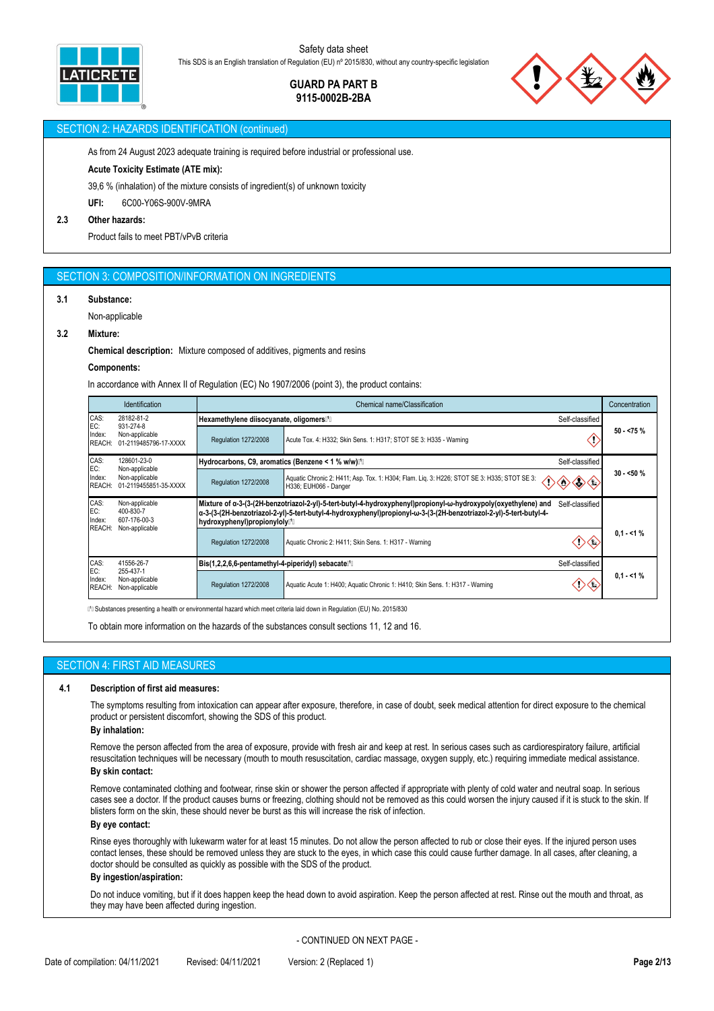

## **GUARD PA PART B 9115-0002B-2BA**



### SECTION 2: HAZARDS IDENTIFICATION (continued)

As from 24 August 2023 adequate training is required before industrial or professional use.

#### **Acute Toxicity Estimate (ATE mix):**

39,6 % (inhalation) of the mixture consists of ingredient(s) of unknown toxicity

**UFI:** 6C00-Y06S-900V-9MRA

#### **2.3 Other hazards:**

Product fails to meet PBT/vPvB criteria

#### SECTION 3: COMPOSITION/INFORMATION ON INGREDIENTS

#### **3.1 Substance:**

Non-applicable

#### **3.2 Mixture:**

**Chemical description:** Mixture composed of additives, pigments and resins

#### **Components:**

In accordance with Annex II of Regulation (EC) No 1907/2006 (point 3), the product contains:

|                                                                                                              | <b>Identification</b>                                       |                                                                         | Chemical name/Classification                                                                                                                                                                                                                            |            |  |  |
|--------------------------------------------------------------------------------------------------------------|-------------------------------------------------------------|-------------------------------------------------------------------------|---------------------------------------------------------------------------------------------------------------------------------------------------------------------------------------------------------------------------------------------------------|------------|--|--|
| CAS:<br>28182-81-2<br>EC:<br>931-274-8<br>Non-applicable<br>Index:<br><b>REACH:</b><br>01-2119485796-17-XXXX |                                                             | Hexamethylene diisocyanate, oligomers <sup>[1]</sup><br>Self-classified |                                                                                                                                                                                                                                                         |            |  |  |
|                                                                                                              |                                                             | Regulation 1272/2008                                                    | Acute Tox. 4: H332; Skin Sens. 1: H317; STOT SE 3: H335 - Warning                                                                                                                                                                                       | $50 - 75%$ |  |  |
| CAS:                                                                                                         | 128601-23-0                                                 | Hydrocarbons, C9, aromatics (Benzene < 1 % w/w)[1]                      | Self-classified                                                                                                                                                                                                                                         |            |  |  |
| EC:<br>Index:<br><b>REACH:</b>                                                                               | Non-applicable<br>Non-applicable<br>01-2119455851-35-XXXX   | Regulation 1272/2008                                                    | Aquatic Chronic 2: H411; Asp. Tox. 1: H304; Flam. Liq. 3: H226; STOT SE 3: H335; STOT SE 3:<br>H336; EUH066 - Danger                                                                                                                                    | $30 - 50%$ |  |  |
| CAS:<br>Non-applicable<br>EC:<br>400-830-7<br>607-176-00-3<br>Index:                                         |                                                             | hydroxyphenyl)propionyloly <sup>[1</sup> ]                              | Mixture of α-3-(3-(2H-benzotriazol-2-yl)-5-tert-butyl-4-hydroxyphenyl)propionyl-ω-hydroxypoly(oxyethylene) and<br>Self-classified<br>α-3-(3-(2H-benzotriazol-2-yl)-5-tert-butyl-4-hydroxyphenyl)propionyl-ω-3-(3-(2H-benzotriazol-2-yl)-5-tert-butyl-4- |            |  |  |
| REACH:                                                                                                       | Non-applicable                                              | Regulation 1272/2008                                                    | Aquatic Chronic 2: H411; Skin Sens. 1: H317 - Warning                                                                                                                                                                                                   | $0.1 - 1%$ |  |  |
| CAS:                                                                                                         | 41556-26-7<br>255-437-1<br>Non-applicable<br>Non-applicable | Bis(1,2,2,6,6-pentamethyl-4-piperidyl) sebacate <sup>n</sup>            | Self-classified                                                                                                                                                                                                                                         |            |  |  |
| EC:<br>Index:<br><b>REACH:</b>                                                                               |                                                             | Regulation 1272/2008                                                    | Aquatic Acute 1: H400; Aquatic Chronic 1: H410; Skin Sens. 1: H317 - Warning                                                                                                                                                                            | $0.1 - 1%$ |  |  |

⁽¹⁽ Substances presenting a health or environmental hazard which meet criteria laid down in Regulation (EU) No. 2015/830

To obtain more information on the hazards of the substances consult sections 11, 12 and 16.

## SECTION 4: FIRST AID MEASURES

#### **4.1 Description of first aid measures:**

The symptoms resulting from intoxication can appear after exposure, therefore, in case of doubt, seek medical attention for direct exposure to the chemical product or persistent discomfort, showing the SDS of this product.

#### **By inhalation:**

Remove the person affected from the area of exposure, provide with fresh air and keep at rest. In serious cases such as cardiorespiratory failure, artificial resuscitation techniques will be necessary (mouth to mouth resuscitation, cardiac massage, oxygen supply, etc.) requiring immediate medical assistance. **By skin contact:**

Remove contaminated clothing and footwear, rinse skin or shower the person affected if appropriate with plenty of cold water and neutral soap. In serious cases see a doctor. If the product causes burns or freezing, clothing should not be removed as this could worsen the injury caused if it is stuck to the skin. If blisters form on the skin, these should never be burst as this will increase the risk of infection.

#### **By eye contact:**

Rinse eyes thoroughly with lukewarm water for at least 15 minutes. Do not allow the person affected to rub or close their eyes. If the injured person uses contact lenses, these should be removed unless they are stuck to the eyes, in which case this could cause further damage. In all cases, after cleaning, a doctor should be consulted as quickly as possible with the SDS of the product.

#### **By ingestion/aspiration:**

Do not induce vomiting, but if it does happen keep the head down to avoid aspiration. Keep the person affected at rest. Rinse out the mouth and throat, as they may have been affected during ingestion.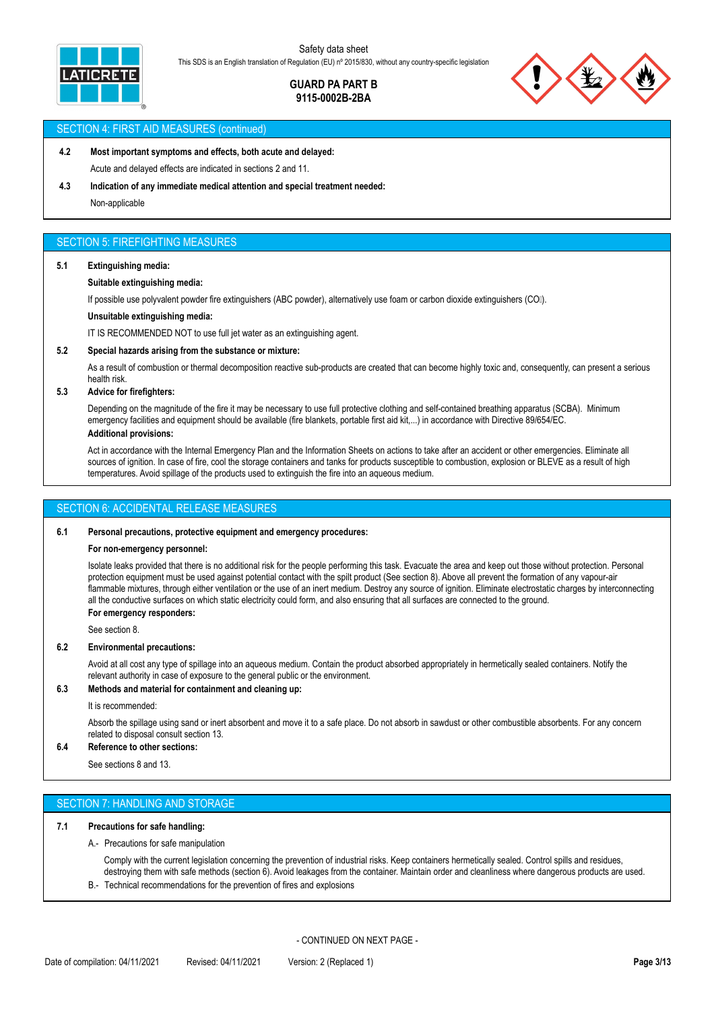

## **GUARD PA PART B 9115-0002B-2BA**



#### SECTION 4: FIRST AID MEASURES (continued)

## **4.2 Most important symptoms and effects, both acute and delayed:** Acute and delayed effects are indicated in sections 2 and 11.

**4.3 Indication of any immediate medical attention and special treatment needed:**

Non-applicable

## SECTION 5: FIREFIGHTING MEASURES

#### **5.1 Extinguishing media:**

#### **Suitable extinguishing media:**

If possible use polyvalent powder fire extinguishers (ABC powder), alternatively use foam or carbon dioxide extinguishers (COII).

#### **Unsuitable extinguishing media:**

IT IS RECOMMENDED NOT to use full jet water as an extinguishing agent.

#### **5.2 Special hazards arising from the substance or mixture:**

As a result of combustion or thermal decomposition reactive sub-products are created that can become highly toxic and, consequently, can present a serious health risk.

#### **5.3 Advice for firefighters:**

Depending on the magnitude of the fire it may be necessary to use full protective clothing and self-contained breathing apparatus (SCBA). Minimum emergency facilities and equipment should be available (fire blankets, portable first aid kit,...) in accordance with Directive 89/654/EC.

#### **Additional provisions:**

Act in accordance with the Internal Emergency Plan and the Information Sheets on actions to take after an accident or other emergencies. Eliminate all sources of ignition. In case of fire, cool the storage containers and tanks for products susceptible to combustion, explosion or BLEVE as a result of high temperatures. Avoid spillage of the products used to extinguish the fire into an aqueous medium.

### SECTION 6: ACCIDENTAL RELEASE MEASURES

#### **6.1 Personal precautions, protective equipment and emergency procedures:**

#### **For non-emergency personnel:**

Isolate leaks provided that there is no additional risk for the people performing this task. Evacuate the area and keep out those without protection. Personal protection equipment must be used against potential contact with the spilt product (See section 8). Above all prevent the formation of any vapour-air flammable mixtures, through either ventilation or the use of an inert medium. Destroy any source of ignition. Eliminate electrostatic charges by interconnecting all the conductive surfaces on which static electricity could form, and also ensuring that all surfaces are connected to the ground. **For emergency responders:**

See section 8.

#### **6.2 Environmental precautions:**

Avoid at all cost any type of spillage into an aqueous medium. Contain the product absorbed appropriately in hermetically sealed containers. Notify the relevant authority in case of exposure to the general public or the environment.

#### **6.3 Methods and material for containment and cleaning up:**

#### It is recommended:

Absorb the spillage using sand or inert absorbent and move it to a safe place. Do not absorb in sawdust or other combustible absorbents. For any concern related to disposal consult section 13.

#### **6.4 Reference to other sections:**

See sections 8 and 13.

## SECTION 7: HANDLING AND STORAGE

#### **7.1 Precautions for safe handling:**

A.- Precautions for safe manipulation

Comply with the current legislation concerning the prevention of industrial risks. Keep containers hermetically sealed. Control spills and residues, destroying them with safe methods (section 6). Avoid leakages from the container. Maintain order and cleanliness where dangerous products are used.

B.- Technical recommendations for the prevention of fires and explosions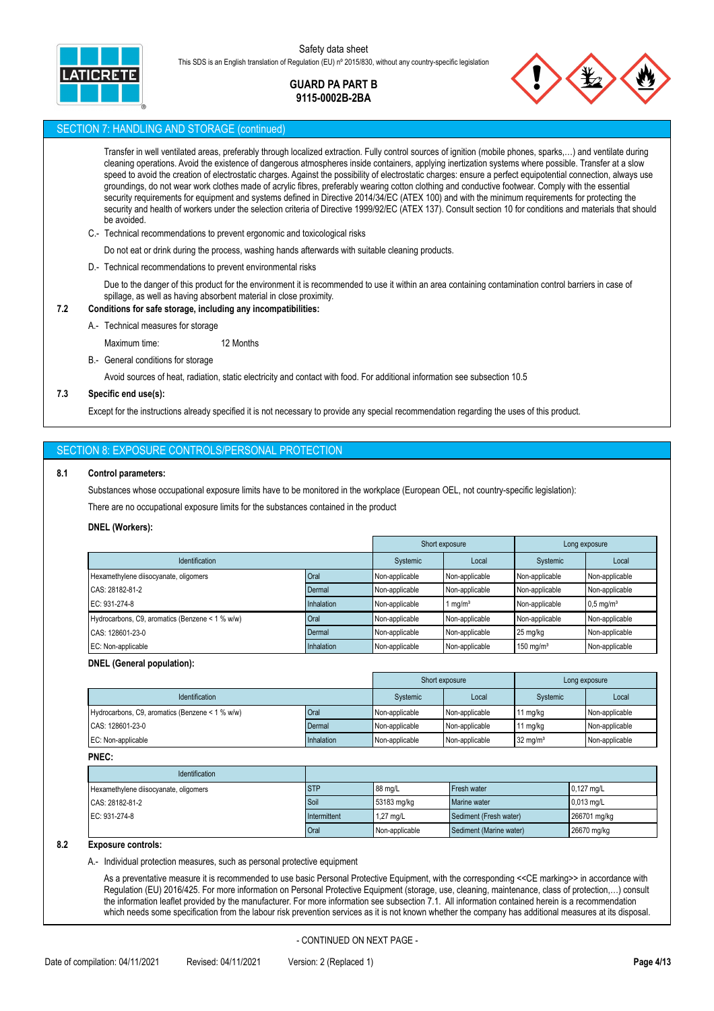

## **GUARD PA PART B 9115-0002B-2BA**



#### SECTION 7: HANDLING AND STORAGE (continued)

Transfer in well ventilated areas, preferably through localized extraction. Fully control sources of ignition (mobile phones, sparks,…) and ventilate during cleaning operations. Avoid the existence of dangerous atmospheres inside containers, applying inertization systems where possible. Transfer at a slow speed to avoid the creation of electrostatic charges. Against the possibility of electrostatic charges: ensure a perfect equipotential connection, always use groundings, do not wear work clothes made of acrylic fibres, preferably wearing cotton clothing and conductive footwear. Comply with the essential security requirements for equipment and systems defined in Directive 2014/34/EC (ATEX 100) and with the minimum requirements for protecting the security and health of workers under the selection criteria of Directive 1999/92/EC (ATEX 137). Consult section 10 for conditions and materials that should be avoided.

- C.- Technical recommendations to prevent ergonomic and toxicological risks
	- Do not eat or drink during the process, washing hands afterwards with suitable cleaning products.
- D.- Technical recommendations to prevent environmental risks

Due to the danger of this product for the environment it is recommended to use it within an area containing contamination control barriers in case of spillage, as well as having absorbent material in close proximity.

#### **7.2 Conditions for safe storage, including any incompatibilities:**

A.- Technical measures for storage

Maximum time: 12 Months

B.- General conditions for storage

Avoid sources of heat, radiation, static electricity and contact with food. For additional information see subsection 10.5

#### **7.3 Specific end use(s):**

Except for the instructions already specified it is not necessary to provide any special recommendation regarding the uses of this product.

#### SECTION 8: EXPOSURE CONTROLS/PERSONAL PROTECTION

#### **8.1 Control parameters:**

Substances whose occupational exposure limits have to be monitored in the workplace (European OEL, not country-specific legislation):

There are no occupational exposure limits for the substances contained in the product

#### **DNEL (Workers):**

|                                                 |            |                | Short exposure      |                         | Long exposure           |
|-------------------------------------------------|------------|----------------|---------------------|-------------------------|-------------------------|
| Identification                                  |            | Systemic       | Local               | Systemic                | Local                   |
| Hexamethylene diisocyanate, oligomers           | Oral       | Non-applicable | Non-applicable      | Non-applicable          | Non-applicable          |
| CAS: 28182-81-2                                 | Dermal     | Non-applicable | Non-applicable      | Non-applicable          | Non-applicable          |
| EC: 931-274-8                                   | Inhalation | Non-applicable | 1 mg/m <sup>3</sup> | Non-applicable          | $0.5$ mg/m <sup>3</sup> |
| Hydrocarbons, C9, aromatics (Benzene < 1 % w/w) | Oral       | Non-applicable | Non-applicable      | Non-applicable          | Non-applicable          |
| CAS: 128601-23-0                                | Dermal     | Non-applicable | Non-applicable      | 25 mg/kg                | Non-applicable          |
| EC: Non-applicable                              | Inhalation | Non-applicable | Non-applicable      | $150$ mg/m <sup>3</sup> | Non-applicable          |

#### **DNEL (General population):**

|                                                 |            |                | Short exposure |                     | Long exposure  |
|-------------------------------------------------|------------|----------------|----------------|---------------------|----------------|
| <b>Identification</b>                           |            | Systemic       | Local          | Systemic            | Local          |
| Hydrocarbons, C9, aromatics (Benzene < 1 % w/w) | Oral       | Non-applicable | Non-applicable | 1 mg/kg             | Non-applicable |
| CAS: 128601-23-0                                | Dermal     | Non-applicable | Non-applicable | 1 mg/kg             | Non-applicable |
| EC: Non-applicable                              | Inhalation | Non-applicable | Non-applicable | $32 \text{ mg/m}^3$ | Non-applicable |

**PNEC:**

| <b>Identification</b>                 |              |                |                         |               |
|---------------------------------------|--------------|----------------|-------------------------|---------------|
| Hexamethylene diisocyanate, oligomers | <b>ISTP</b>  | 88 ma/L        | Fresh water             | $10.127$ ma/L |
| CAS: 28182-81-2                       | Soil         | 53183 mg/kg    | Marine water            | $0.013$ mg/L  |
| EC: 931-274-8                         | Intermittent | $.27$ mg/L     | Sediment (Fresh water)  | 266701 mg/kg  |
|                                       | Oral         | Non-applicable | Sediment (Marine water) | 26670 mg/kg   |

#### **8.2 Exposure controls:**

A.- Individual protection measures, such as personal protective equipment

As a preventative measure it is recommended to use basic Personal Protective Equipment, with the corresponding <<CE marking>> in accordance with Regulation (EU) 2016/425. For more information on Personal Protective Equipment (storage, use, cleaning, maintenance, class of protection,…) consult the information leaflet provided by the manufacturer. For more information see subsection 7.1. All information contained herein is a recommendation which needs some specification from the labour risk prevention services as it is not known whether the company has additional measures at its disposal.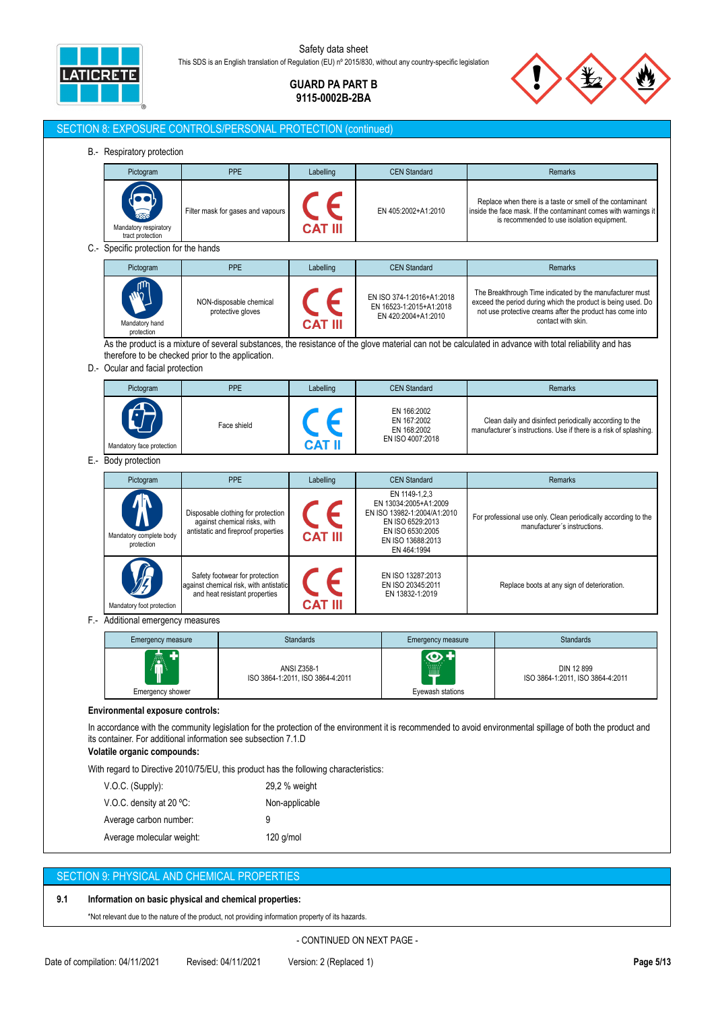

**GUARD PA PART B 9115-0002B-2BA**

| Pictogram                                                                             | <b>PPE</b>                                                                                                | Labelling                                              | <b>CEN Standard</b>                                                                                                                               | Remarks                                                                                                                                                                                                     |
|---------------------------------------------------------------------------------------|-----------------------------------------------------------------------------------------------------------|--------------------------------------------------------|---------------------------------------------------------------------------------------------------------------------------------------------------|-------------------------------------------------------------------------------------------------------------------------------------------------------------------------------------------------------------|
| Mandatory respiratory<br>tract protection                                             | Filter mask for gases and vapours                                                                         |                                                        | EN 405:2002+A1:2010                                                                                                                               | Replace when there is a taste or smell of the contaminant<br>inside the face mask. If the contaminant comes with warnings it<br>is recommended to use isolation equipment.                                  |
| C.- Specific protection for the hands                                                 |                                                                                                           |                                                        |                                                                                                                                                   |                                                                                                                                                                                                             |
| Pictogram                                                                             | <b>PPE</b>                                                                                                | Labelling                                              | <b>CEN Standard</b>                                                                                                                               | Remarks                                                                                                                                                                                                     |
| Mandatory hand<br>protection                                                          | NON-disposable chemical<br>protective gloves                                                              |                                                        | EN ISO 374-1:2016+A1:2018<br>EN 16523-1:2015+A1:2018<br>EN 420:2004+A1:2010                                                                       | The Breakthrough Time indicated by the manufacturer must<br>exceed the period during which the product is being used. Do<br>not use protective creams after the product has come into<br>contact with skin. |
|                                                                                       |                                                                                                           |                                                        |                                                                                                                                                   | As the product is a mixture of several substances, the resistance of the glove material can not be calculated in advance with total reliability and has                                                     |
| therefore to be checked prior to the application.<br>D.- Ocular and facial protection |                                                                                                           |                                                        |                                                                                                                                                   |                                                                                                                                                                                                             |
| Pictogram                                                                             | <b>PPE</b>                                                                                                | Labelling                                              | <b>CEN Standard</b>                                                                                                                               | <b>Remarks</b>                                                                                                                                                                                              |
| Mandatory face protection                                                             | Face shield                                                                                               |                                                        | EN 166:2002<br>EN 167:2002<br>EN 168:2002<br>EN ISO 4007:2018                                                                                     | Clean daily and disinfect periodically according to the<br>manufacturer's instructions. Use if there is a risk of splashing.                                                                                |
| E.- Body protection                                                                   |                                                                                                           |                                                        |                                                                                                                                                   |                                                                                                                                                                                                             |
| Pictogram                                                                             | <b>PPE</b>                                                                                                | Labelling                                              | <b>CEN Standard</b>                                                                                                                               | Remarks                                                                                                                                                                                                     |
| Mandatory complete body<br>protection                                                 | Disposable clothing for protection<br>against chemical risks, with<br>antistatic and fireproof properties |                                                        | EN 1149-1,2,3<br>EN 13034:2005+A1:2009<br>EN ISO 13982-1:2004/A1:2010<br>EN ISO 6529:2013<br>EN ISO 6530:2005<br>EN ISO 13688:2013<br>EN 464:1994 | For professional use only. Clean periodically according to the<br>manufacturer's instructions.                                                                                                              |
| Mandatory foot protection                                                             | Safety footwear for protection<br>against chemical risk, with antistatic<br>and heat resistant properties |                                                        | EN ISO 13287:2013<br>EN ISO 20345:2011<br>EN 13832-1:2019                                                                                         | Replace boots at any sign of deterioration.                                                                                                                                                                 |
| F.- Additional emergency measures                                                     |                                                                                                           |                                                        |                                                                                                                                                   |                                                                                                                                                                                                             |
| Emergency measure                                                                     |                                                                                                           | Standards                                              | Emergency measure                                                                                                                                 | <b>Standards</b>                                                                                                                                                                                            |
| Emergency shower                                                                      |                                                                                                           | <b>ANSI Z358-1</b><br>ISO 3864-1:2011, ISO 3864-4:2011 | $\bm{\omega}$<br>Eyewash stations                                                                                                                 | DIN 12 899<br>ISO 3864-1:2011, ISO 3864-4:2011                                                                                                                                                              |
| Environmental exposure controls:                                                      |                                                                                                           |                                                        |                                                                                                                                                   |                                                                                                                                                                                                             |
|                                                                                       |                                                                                                           |                                                        |                                                                                                                                                   | In accordance with the community legislation for the protection of the environment it is recommended to avoid environmental spillage of both the product and                                                |

| V.O.C. density at 20 $°C$ :              | Non-applicable |
|------------------------------------------|----------------|
| Average carbon number:<br>9              |                |
| $120$ g/mol<br>Average molecular weight: |                |

## SECTION 9: PHYSICAL AND CHEMICAL PROPERTIES

## **9.1 Information on basic physical and chemical properties:**

\*Not relevant due to the nature of the product, not providing information property of its hazards.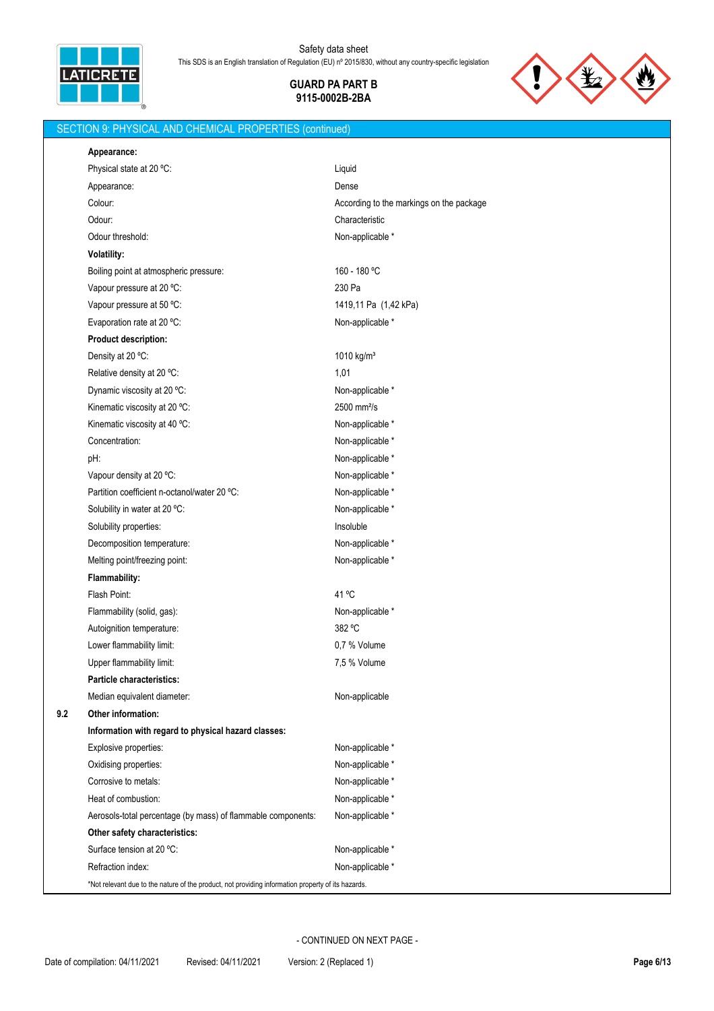

**GUARD PA PART B**



# **9115-0002B-2BA**

## SECTION 9: PHYSICAL AND CHEMICAL PROPERTIES (continued)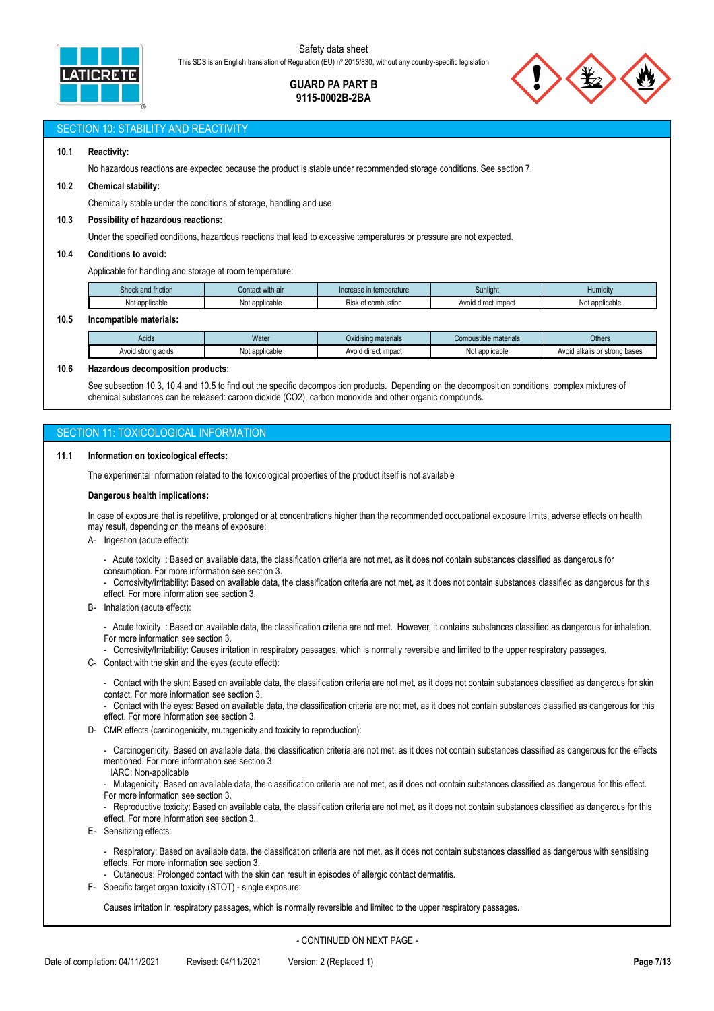

### **GUARD PA PART B 9115-0002B-2BA**



#### SECTION 10: STABILITY AND REACTIVITY

#### **10.1 Reactivity:**

No hazardous reactions are expected because the product is stable under recommended storage conditions. See section 7.

#### **10.2 Chemical stability:**

Chemically stable under the conditions of storage, handling and use.

#### **10.3 Possibility of hazardous reactions:**

Under the specified conditions, hazardous reactions that lead to excessive temperatures or pressure are not expected.

#### **10.4 Conditions to avoid:**

Applicable for handling and storage at room temperature:

| $\sim$ $\sim$<br>Shock a<br>triction | ∶with air<br>наы                                               | Sunliaht<br>Increase in temperature |                     | <b>Humidity</b>            |
|--------------------------------------|----------------------------------------------------------------|-------------------------------------|---------------------|----------------------------|
| applicable<br>Not                    | f combustion<br>No.<br>: annlicabla<br>.<br>KISK<br>applicable |                                     | Avoid direct impact | applicable<br>ا ہ<br>ו שוי |
|                                      |                                                                |                                     |                     |                            |

#### **10.5 Incompatible materials:**

| Acids              | Water          | .<br>Oxidising materials             | Combustible materials | Others                        |
|--------------------|----------------|--------------------------------------|-----------------------|-------------------------------|
| Avoid strong acids | Not applicable | diroot impoot<br>Avoid direct impact | Not applicable        | Avoid alkalis or strong bases |

#### **10.6 Hazardous decomposition products:**

See subsection 10.3, 10.4 and 10.5 to find out the specific decomposition products. Depending on the decomposition conditions, complex mixtures of chemical substances can be released: carbon dioxide (CO2), carbon monoxide and other organic compounds.

### SECTION 11: TOXICOLOGICAL INFORMATION

#### **11.1 Information on toxicological effects:**

The experimental information related to the toxicological properties of the product itself is not available

#### **Dangerous health implications:**

In case of exposure that is repetitive, prolonged or at concentrations higher than the recommended occupational exposure limits, adverse effects on health may result, depending on the means of exposure:

- A- Ingestion (acute effect):
	- Acute toxicity : Based on available data, the classification criteria are not met, as it does not contain substances classified as dangerous for consumption. For more information see section 3.
	- Corrosivity/Irritability: Based on available data, the classification criteria are not met, as it does not contain substances classified as dangerous for this effect. For more information see section 3.

B- Inhalation (acute effect):

- Acute toxicity : Based on available data, the classification criteria are not met. However, it contains substances classified as dangerous for inhalation. For more information see section 3.

- Corrosivity/Irritability: Causes irritation in respiratory passages, which is normally reversible and limited to the upper respiratory passages.

- C- Contact with the skin and the eyes (acute effect):
	- Contact with the skin: Based on available data, the classification criteria are not met, as it does not contain substances classified as dangerous for skin contact. For more information see section 3.

- Contact with the eyes: Based on available data, the classification criteria are not met, as it does not contain substances classified as dangerous for this effect. For more information see section 3.

- D- CMR effects (carcinogenicity, mutagenicity and toxicity to reproduction):
	- Carcinogenicity: Based on available data, the classification criteria are not met, as it does not contain substances classified as dangerous for the effects mentioned. For more information see section 3.

IARC: Non-applicable

- Mutagenicity: Based on available data, the classification criteria are not met, as it does not contain substances classified as dangerous for this effect.
- For more information see section 3.
- Reproductive toxicity: Based on available data, the classification criteria are not met, as it does not contain substances classified as dangerous for this effect. For more information see section 3.
- E- Sensitizing effects:
	- Respiratory: Based on available data, the classification criteria are not met, as it does not contain substances classified as dangerous with sensitising effects. For more information see section 3.
	- Cutaneous: Prolonged contact with the skin can result in episodes of allergic contact dermatitis.
- F- Specific target organ toxicity (STOT) single exposure:

Causes irritation in respiratory passages, which is normally reversible and limited to the upper respiratory passages.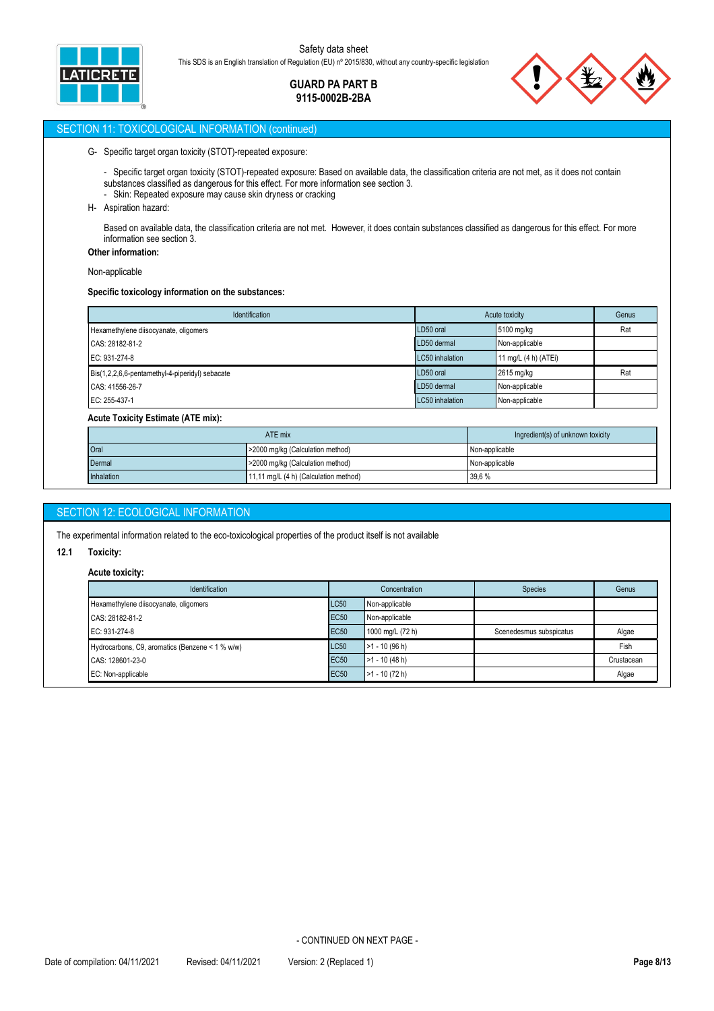

## **GUARD PA PART B 9115-0002B-2BA**

## SECTION 11: TOXICOLOGICAL INFORMATION (continued)

#### G- Specific target organ toxicity (STOT)-repeated exposure:

- Specific target organ toxicity (STOT)-repeated exposure: Based on available data, the classification criteria are not met, as it does not contain substances classified as dangerous for this effect. For more information see section 3.
- Skin: Repeated exposure may cause skin dryness or cracking
- H- Aspiration hazard:

Based on available data, the classification criteria are not met. However, it does contain substances classified as dangerous for this effect. For more information see section 3.

**Other information:**

Non-applicable

#### **Specific toxicology information on the substances:**

| Identification                                  | Acute toxicity  | Genus                |     |
|-------------------------------------------------|-----------------|----------------------|-----|
| Hexamethylene diisocyanate, oligomers           | LD50 oral       | 5100 mg/kg           | Rat |
| CAS: 28182-81-2                                 | LD50 dermal     | Non-applicable       |     |
| EC: 931-274-8                                   | LC50 inhalation | 11 mg/L (4 h) (ATEi) |     |
| Bis(1,2,2,6,6-pentamethyl-4-piperidyl) sebacate | LD50 oral       | 2615 mg/kg           | Rat |
| CAS: 41556-26-7                                 | LD50 dermal     | Non-applicable       |     |
| EC: 255-437-1                                   | LC50 inhalation | Non-applicable       |     |

#### **Acute Toxicity Estimate (ATE mix):**

| ATE mix    |                                       | Ingredient(s) of unknown toxicity |
|------------|---------------------------------------|-----------------------------------|
| Oral       | >2000 mg/kg (Calculation method)      | Non-applicable                    |
| Dermal     | >2000 mg/kg (Calculation method)      | Non-applicable                    |
| Inhalation | 11,11 mg/L (4 h) (Calculation method) | 39,6 %                            |

## SECTION 12: ECOLOGICAL INFORMATION

The experimental information related to the eco-toxicological properties of the product itself is not available

#### **12.1 Toxicity:**

#### **Acute toxicity:**

| <b>Identification</b>                           | Concentration                   |                                     | <b>Species</b>          | Genus      |
|-------------------------------------------------|---------------------------------|-------------------------------------|-------------------------|------------|
| Hexamethylene diisocyanate, oligomers           | <b>LC50</b>                     | Non-applicable                      |                         |            |
| <b>EC50</b><br>CAS: 28182-81-2                  |                                 | Non-applicable                      |                         |            |
| EC: 931-274-8                                   | <b>EC50</b><br>1000 mg/L (72 h) |                                     | Scenedesmus subspicatus | Algae      |
| Hydrocarbons, C9, aromatics (Benzene < 1 % w/w) | <b>LC50</b>                     | $>1 - 10(96 h)$                     |                         | Fish       |
| CAS: 128601-23-0                                | <b>EC50</b>                     | $\blacktriangleright$ 1 - 10 (48 h) |                         | Crustacean |
| EC: Non-applicable                              | <b>EC50</b>                     | $\blacktriangleright$ 1 - 10 (72 h) |                         | Algae      |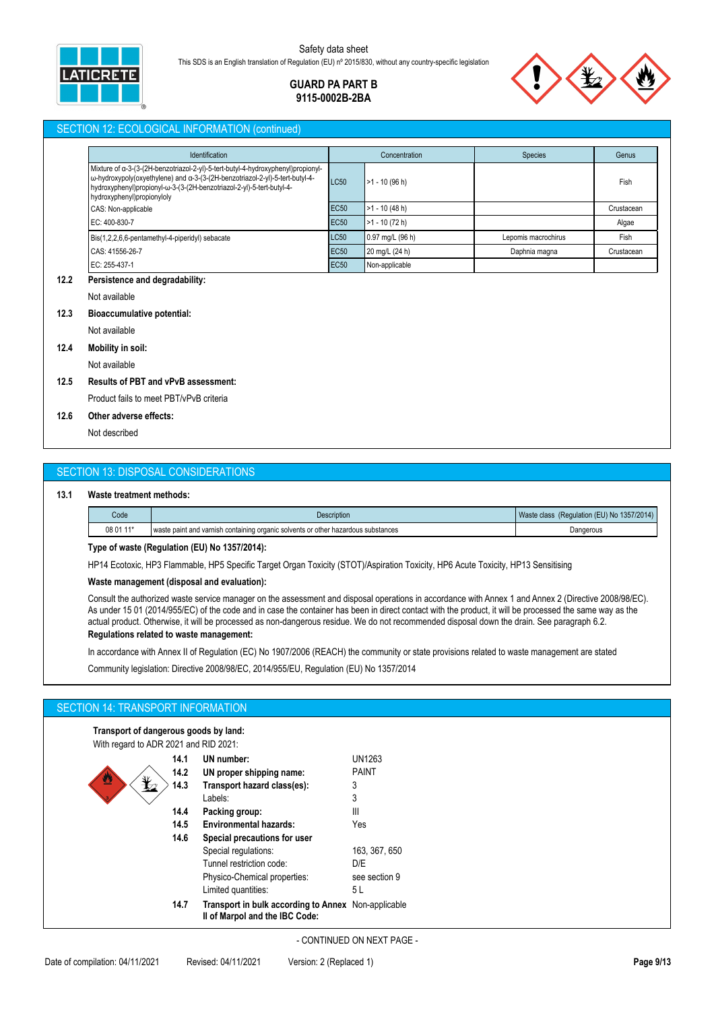

## **GUARD PA PART B 9115-0002B-2BA**

#### SECTION 12: ECOLOGICAL INFORMATION (continued)

| Identification                                                                                                                                                                                                                                                          |             | Concentration    | <b>Species</b>      | Genus      |
|-------------------------------------------------------------------------------------------------------------------------------------------------------------------------------------------------------------------------------------------------------------------------|-------------|------------------|---------------------|------------|
| Mixture of a-3-(3-(2H-benzotriazol-2-yl)-5-tert-butyl-4-hydroxyphenyl)propionyl-<br>ω-hydroxypoly(oxyethylene) and α-3-(3-(2H-benzotriazol-2-yl)-5-tert-butyl-4-<br>hydroxyphenyl)propionyl-w-3-(3-(2H-benzotriazol-2-yl)-5-tert-butyl-4-<br>hydroxyphenyl)propionyloly | <b>LC50</b> | $>1 - 10$ (96 h) |                     | Fish       |
| CAS: Non-applicable                                                                                                                                                                                                                                                     | <b>EC50</b> | $>1 - 10(48 h)$  |                     | Crustacean |
| EC: 400-830-7                                                                                                                                                                                                                                                           | <b>EC50</b> | $>1 - 10(72 h)$  |                     | Algae      |
| Bis(1,2,2,6,6-pentamethyl-4-piperidyl) sebacate                                                                                                                                                                                                                         | LC50        | 0.97 mg/L (96 h) | Lepomis macrochirus | Fish       |
| CAS: 41556-26-7                                                                                                                                                                                                                                                         | <b>EC50</b> | 20 mg/L (24 h)   | Daphnia magna       | Crustacean |
| EC: 255-437-1                                                                                                                                                                                                                                                           | <b>EC50</b> | Non-applicable   |                     |            |

#### **12.2 Persistence and degradability:**

Not available

#### **12.3 Bioaccumulative potential:**

Not available

### **12.4 Mobility in soil:**

Not available

## **12.5 Results of PBT and vPvB assessment:**

Product fails to meet PBT/vPvB criteria

## **12.6 Other adverse effects:**

Not described

## SECTION 13: DISPOSAL CONSIDERATIONS

#### **13.1 Waste treatment methods:**

| Code      | Description                                                                       | (Regulation (EU) No 1357/2014)<br>Waste<br>class |
|-----------|-----------------------------------------------------------------------------------|--------------------------------------------------|
| 08 01 11* | waste paint and varnish containing organic solvents or other hazardous substances | Jangerous                                        |

#### **Type of waste (Regulation (EU) No 1357/2014):**

HP14 Ecotoxic, HP3 Flammable, HP5 Specific Target Organ Toxicity (STOT)/Aspiration Toxicity, HP6 Acute Toxicity, HP13 Sensitising

## **Waste management (disposal and evaluation):**

Consult the authorized waste service manager on the assessment and disposal operations in accordance with Annex 1 and Annex 2 (Directive 2008/98/EC). As under 15 01 (2014/955/EC) of the code and in case the container has been in direct contact with the product, it will be processed the same way as the actual product. Otherwise, it will be processed as non-dangerous residue. We do not recommended disposal down the drain. See paragraph 6.2.

## **Regulations related to waste management:**

In accordance with Annex II of Regulation (EC) No 1907/2006 (REACH) the community or state provisions related to waste management are stated

Community legislation: Directive 2008/98/EC, 2014/955/EU, Regulation (EU) No 1357/2014

### SECTION 14: TRANSPORT INFORMATION

**Transport of dangerous goods by land:**

| With regard to ADR 2021 and RID 2021: |      |                                                                                       |               |
|---------------------------------------|------|---------------------------------------------------------------------------------------|---------------|
|                                       | 14.1 | UN number:                                                                            | UN1263        |
| 些                                     | 14.2 | UN proper shipping name:                                                              | <b>PAINT</b>  |
|                                       | 14.3 | Transport hazard class(es):                                                           | 3             |
|                                       |      | Labels:                                                                               | 3             |
|                                       | 14.4 | Packing group:                                                                        | Ш             |
|                                       | 14.5 | <b>Environmental hazards:</b>                                                         | Yes           |
|                                       | 14.6 | Special precautions for user                                                          |               |
|                                       |      | Special regulations:                                                                  | 163, 367, 650 |
|                                       |      | Tunnel restriction code:                                                              | D/E           |
|                                       |      | Physico-Chemical properties:                                                          | see section 9 |
|                                       |      | Limited quantities:                                                                   | 5 L           |
|                                       | 14.7 | Transport in bulk according to Annex Non-applicable<br>Il of Marpol and the IBC Code: |               |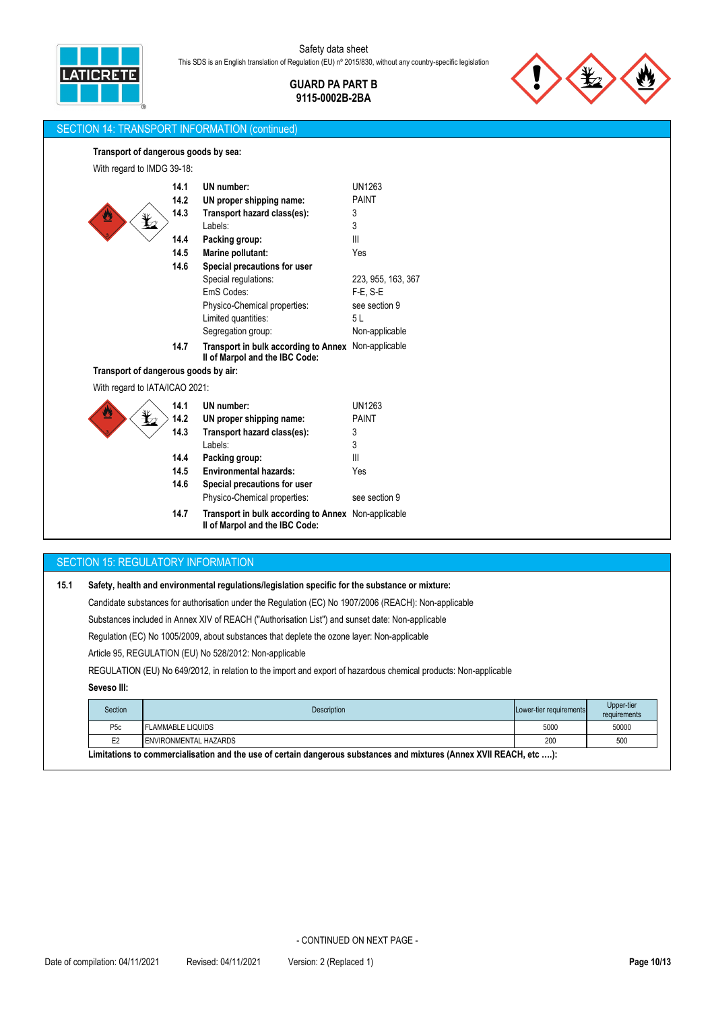

> **GUARD PA PART B 9115-0002B-2BA**

> > UN1263

PAINT



## SECTION 14: TRANSPORT INFORMATION (continued)

## **Transport of dangerous goods by sea:**

| 14.1 |
|------|
| 14.2 |
| 14.3 |
|      |
| 14.4 |

With regard to IMDG 39-18:

| 14.3 | Transport hazard class(es):                         | 3                  |
|------|-----------------------------------------------------|--------------------|
|      | Labels:                                             | 3                  |
| 14.4 | Packing group:                                      | Ш                  |
| 14.5 | Marine pollutant:                                   | Yes                |
| 14.6 | Special precautions for user                        |                    |
|      | Special regulations:                                | 223, 955, 163, 367 |
|      | EmS Codes:                                          | F-E. S-E           |
|      | Physico-Chemical properties:                        | see section 9      |
|      | Limited quantities:                                 | 5 L                |
|      | Segregation group:                                  | Non-applicable     |
| 14.7 | Transport in bulk according to Annex Non-applicable |                    |

**UN proper shipping name:**

**UN number:**

**II of Marpol and the IBC Code:**

## **Transport of dangerous goods by air:**

## With regard to IATA/ICAO 2021:

| ♨<br>$\mathcal{Z}$ | 14.1<br>14.2 | UN number:<br>UN proper shipping name:                                                       | UN1263<br><b>PAINT</b> |
|--------------------|--------------|----------------------------------------------------------------------------------------------|------------------------|
|                    | 14.3         | Transport hazard class(es):                                                                  | 3                      |
|                    |              | Labels:                                                                                      | 3                      |
|                    | 14.4         | Packing group:                                                                               | $\mathbf{III}$         |
|                    | 14.5         | <b>Environmental hazards:</b>                                                                | Yes                    |
|                    | 14.6         | Special precautions for user                                                                 |                        |
|                    |              | Physico-Chemical properties:                                                                 | see section 9          |
|                    | 14.7         | <b>Transport in bulk according to Annex</b> Non-applicable<br>II of Marpol and the IBC Code: |                        |

#### SECTION 15: REGULATORY INFORMATION

| 15.1 | Safety, health and environmental regulations/legislation specific for the substance or mixture:                  |                    |                         |                                    |  |  |
|------|------------------------------------------------------------------------------------------------------------------|--------------------|-------------------------|------------------------------------|--|--|
|      | Candidate substances for authorisation under the Regulation (EC) No 1907/2006 (REACH): Non-applicable            |                    |                         |                                    |  |  |
|      | Substances included in Annex XIV of REACH ("Authorisation List") and sunset date: Non-applicable                 |                    |                         |                                    |  |  |
|      | Requiation (EC) No 1005/2009, about substances that deplete the ozone layer: Non-applicable                      |                    |                         |                                    |  |  |
|      | Article 95, REGULATION (EU) No 528/2012: Non-applicable                                                          |                    |                         |                                    |  |  |
|      | REGULATION (EU) No 649/2012, in relation to the import and export of hazardous chemical products: Non-applicable |                    |                         |                                    |  |  |
|      | Seveso III:                                                                                                      |                    |                         |                                    |  |  |
|      | Section                                                                                                          | <b>Description</b> | Lower-tier requirements | Upper-tier<br>an accidentant and a |  |  |

| Section                                                                                                             | <b>Description</b>       | Lower-tier requirements | <b>Opper-tier</b><br>requirements |  |  |
|---------------------------------------------------------------------------------------------------------------------|--------------------------|-------------------------|-----------------------------------|--|--|
| P <sub>5</sub> c                                                                                                    | <b>FLAMMABLE LIQUIDS</b> | 5000                    | 50000                             |  |  |
| E <sub>2</sub>                                                                                                      | ENVIRONMENTAL HAZARDS    | 200                     | 500                               |  |  |
| Limitations to commercialisation and the use of certain dangerous substances and mixtures (Annex XVII REACH, etc ): |                          |                         |                                   |  |  |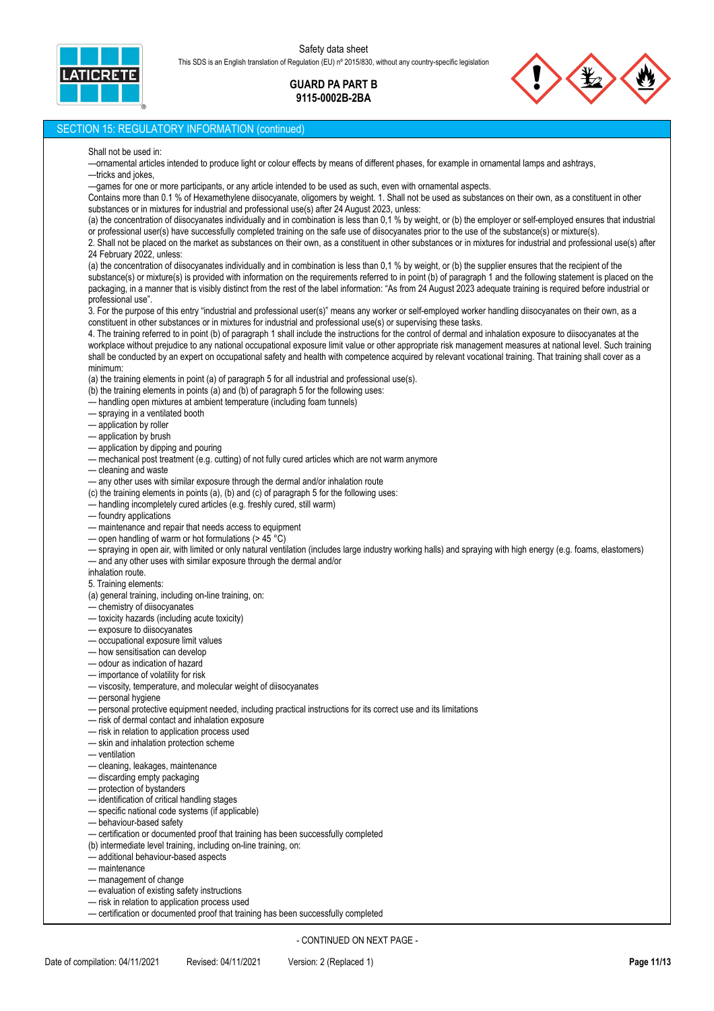ICRE'

### Safety data sheet This SDS is an English translation of Regulation (EU) nº 2015/830, without any country-specific legislation

## **GUARD PA PART B 9115-0002B-2BA**



### SECTION 15: REGULATORY INFORMATION (continued)

#### Shall not be used in:

—ornamental articles intended to produce light or colour effects by means of different phases, for example in ornamental lamps and ashtrays, —tricks and jokes,

—games for one or more participants, or any article intended to be used as such, even with ornamental aspects.

Contains more than 0.1 % of Hexamethylene diisocyanate, oligomers by weight. 1. Shall not be used as substances on their own, as a constituent in other substances or in mixtures for industrial and professional use(s) after 24 August 2023, unless:

(a) the concentration of diisocyanates individually and in combination is less than 0,1 % by weight, or (b) the employer or self-employed ensures that industrial or professional user(s) have successfully completed training on the safe use of diisocyanates prior to the use of the substance(s) or mixture(s).

2. Shall not be placed on the market as substances on their own, as a constituent in other substances or in mixtures for industrial and professional use(s) after 24 February 2022, unless:

(a) the concentration of diisocyanates individually and in combination is less than 0,1 % by weight, or (b) the supplier ensures that the recipient of the substance(s) or mixture(s) is provided with information on the requirements referred to in point (b) of paragraph 1 and the following statement is placed on the packaging, in a manner that is visibly distinct from the rest of the label information: "As from 24 August 2023 adequate training is required before industrial or professional use".

3. For the purpose of this entry "industrial and professional user(s)" means any worker or self-employed worker handling diisocyanates on their own, as a constituent in other substances or in mixtures for industrial and professional use(s) or supervising these tasks.

4. The training referred to in point (b) of paragraph 1 shall include the instructions for the control of dermal and inhalation exposure to diisocyanates at the workplace without prejudice to any national occupational exposure limit value or other appropriate risk management measures at national level. Such training shall be conducted by an expert on occupational safety and health with competence acquired by relevant vocational training. That training shall cover as a minimum:

(a) the training elements in point (a) of paragraph 5 for all industrial and professional use(s).

(b) the training elements in points (a) and (b) of paragraph 5 for the following uses:

— handling open mixtures at ambient temperature (including foam tunnels)

- spraying in a ventilated booth
- application by roller
- application by brush
- application by dipping and pouring
- mechanical post treatment (e.g. cutting) of not fully cured articles which are not warm anymore
- cleaning and waste
- any other uses with similar exposure through the dermal and/or inhalation route
- (c) the training elements in points (a), (b) and (c) of paragraph 5 for the following uses:
- handling incompletely cured articles (e.g. freshly cured, still warm)
- foundry applications
- maintenance and repair that needs access to equipment
- open handling of warm or hot formulations (> 45  $^{\circ}$ C)
- spraying in open air, with limited or only natural ventilation (includes large industry working halls) and spraying with high energy (e.g. foams, elastomers)
- and any other uses with similar exposure through the dermal and/or
- inhalation route.

5. Training elements:

- (a) general training, including on-line training, on:
- chemistry of diisocyanates
- toxicity hazards (including acute toxicity)
- exposure to diisocyanates
- occupational exposure limit values
- how sensitisation can develop
- odour as indication of hazard
- importance of volatility for risk
- viscosity, temperature, and molecular weight of diisocyanates
- personal hygiene
- personal protective equipment needed, including practical instructions for its correct use and its limitations
- risk of dermal contact and inhalation exposure
- risk in relation to application process used
- skin and inhalation protection scheme
- ventilation
- cleaning, leakages, maintenance
- discarding empty packaging
- protection of bystanders
- identification of critical handling stages
- specific national code systems (if applicable)
- behaviour-based safety
- certification or documented proof that training has been successfully completed
- (b) intermediate level training, including on-line training, on:
- additional behaviour-based aspects
- maintenance
- management of change
- evaluation of existing safety instructions
- risk in relation to application process used
- certification or documented proof that training has been successfully completed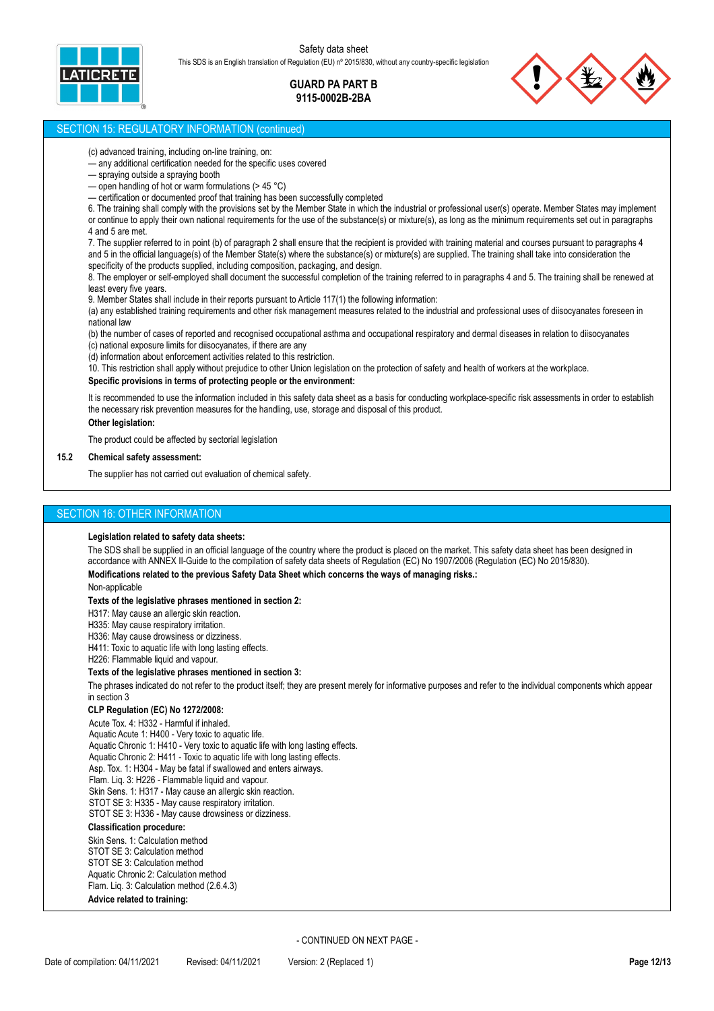

> **GUARD PA PART B 9115-0002B-2BA**



#### SECTION 15: REGULATORY INFORMATION (continued)

(c) advanced training, including on-line training, on:

— any additional certification needed for the specific uses covered

- spraying outside a spraying booth
- open handling of hot or warm formulations ( $> 45 °C$ )
- certification or documented proof that training has been successfully completed

6. The training shall comply with the provisions set by the Member State in which the industrial or professional user(s) operate. Member States may implement or continue to apply their own national requirements for the use of the substance(s) or mixture(s), as long as the minimum requirements set out in paragraphs

4 and 5 are met.

7. The supplier referred to in point (b) of paragraph 2 shall ensure that the recipient is provided with training material and courses pursuant to paragraphs 4 and 5 in the official language(s) of the Member State(s) where the substance(s) or mixture(s) are supplied. The training shall take into consideration the specificity of the products supplied, including composition, packaging, and design.

8. The employer or self-employed shall document the successful completion of the training referred to in paragraphs 4 and 5. The training shall be renewed at least every five years.

9. Member States shall include in their reports pursuant to Article 117(1) the following information:

(a) any established training requirements and other risk management measures related to the industrial and professional uses of diisocyanates foreseen in national law

(b) the number of cases of reported and recognised occupational asthma and occupational respiratory and dermal diseases in relation to diisocyanates (c) national exposure limits for diisocyanates, if there are any

(d) information about enforcement activities related to this restriction.

10. This restriction shall apply without prejudice to other Union legislation on the protection of safety and health of workers at the workplace.

#### **Specific provisions in terms of protecting people or the environment:**

It is recommended to use the information included in this safety data sheet as a basis for conducting workplace-specific risk assessments in order to establish the necessary risk prevention measures for the handling, use, storage and disposal of this product. **Other legislation:**

The product could be affected by sectorial legislation

#### **15.2 Chemical safety assessment:**

The supplier has not carried out evaluation of chemical safety.

#### SECTION 16: OTHER INFORMATION

#### **Legislation related to safety data sheets:**

The SDS shall be supplied in an official language of the country where the product is placed on the market. This safety data sheet has been designed in accordance with ANNEX II-Guide to the compilation of safety data sheets of Regulation (EC) No 1907/2006 (Regulation (EC) No 2015/830).

#### **Modifications related to the previous Safety Data Sheet which concerns the ways of managing risks.:**

Non-applicable

#### **Texts of the legislative phrases mentioned in section 2:**

H317: May cause an allergic skin reaction.

H335: May cause respiratory irritation.

H336: May cause drowsiness or dizziness.

H411: Toxic to aquatic life with long lasting effects.

H226: Flammable liquid and vapour.

#### **Texts of the legislative phrases mentioned in section 3:**

The phrases indicated do not refer to the product itself; they are present merely for informative purposes and refer to the individual components which appear in section 3

#### **CLP Regulation (EC) No 1272/2008:**

Acute Tox. 4: H332 - Harmful if inhaled. Aquatic Acute 1: H400 - Very toxic to aquatic life. Aquatic Chronic 1: H410 - Very toxic to aquatic life with long lasting effects. Aquatic Chronic 2: H411 - Toxic to aquatic life with long lasting effects. Asp. Tox. 1: H304 - May be fatal if swallowed and enters airways. Flam. Liq. 3: H226 - Flammable liquid and vapour. Skin Sens. 1: H317 - May cause an allergic skin reaction. STOT SE 3: H335 - May cause respiratory irritation. STOT SE 3: H336 - May cause drowsiness or dizziness. **Classification procedure:**

Skin Sens. 1: Calculation method STOT SE 3: Calculation method STOT SE 3: Calculation method Aquatic Chronic 2: Calculation method Flam. Liq. 3: Calculation method (2.6.4.3)

## **Advice related to training:**